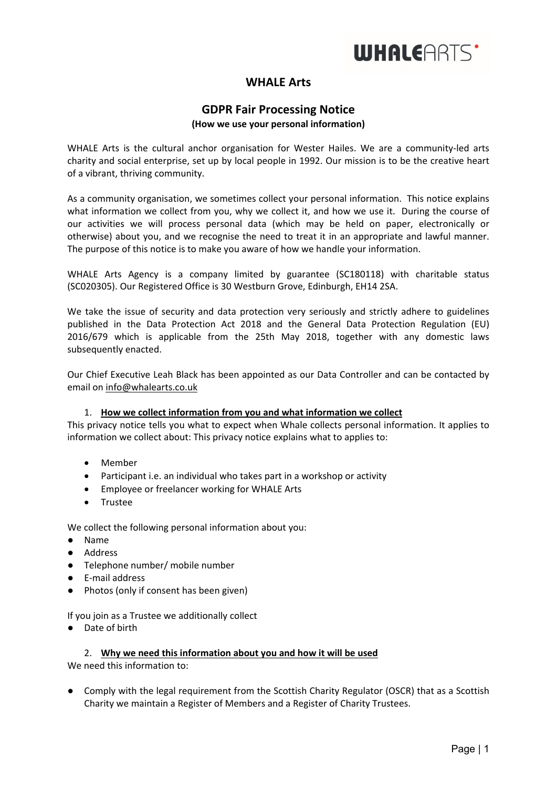

# **WHALE Arts**

# **GDPR Fair Processing Notice**

#### **(How we use your personal information)**

WHALE Arts is the cultural anchor organisation for Wester Hailes. We are a community-led arts charity and social enterprise, set up by local people in 1992. Our mission is to be the creative heart of a vibrant, thriving community.

As a community organisation, we sometimes collect your personal information. This notice explains what information we collect from you, why we collect it, and how we use it. During the course of our activities we will process personal data (which may be held on paper, electronically or otherwise) about you, and we recognise the need to treat it in an appropriate and lawful manner. The purpose of this notice is to make you aware of how we handle your information.

WHALE Arts Agency is a company limited by guarantee (SC180118) with charitable status (SC020305). Our Registered Office is 30 Westburn Grove, Edinburgh, EH14 2SA.

We take the issue of security and data protection very seriously and strictly adhere to guidelines published in the Data Protection Act 2018 and the General Data Protection Regulation (EU) 2016/679 which is applicable from the 25th May 2018, together with any domestic laws subsequently enacted.

Our Chief Executive Leah Black has been appointed as our Data Controller and can be contacted by email on info@whalearts.co.uk

## 1. **How we collect information from you and what information we collect**

This privacy notice tells you what to expect when Whale collects personal information. It applies to information we collect about: This privacy notice explains what to applies to:

- Member
- Participant i.e. an individual who takes part in a workshop or activity
- Employee or freelancer working for WHALE Arts
- Trustee

We collect the following personal information about you:

- Name
- Address
- Telephone number/ mobile number
- E-mail address
- Photos (only if consent has been given)

If you join as a Trustee we additionally collect

● Date of birth

#### 2. **Why we need this information about you and how it will be used**

We need this information to:

● Comply with the legal requirement from the Scottish Charity Regulator (OSCR) that as a Scottish Charity we maintain a Register of Members and a Register of Charity Trustees.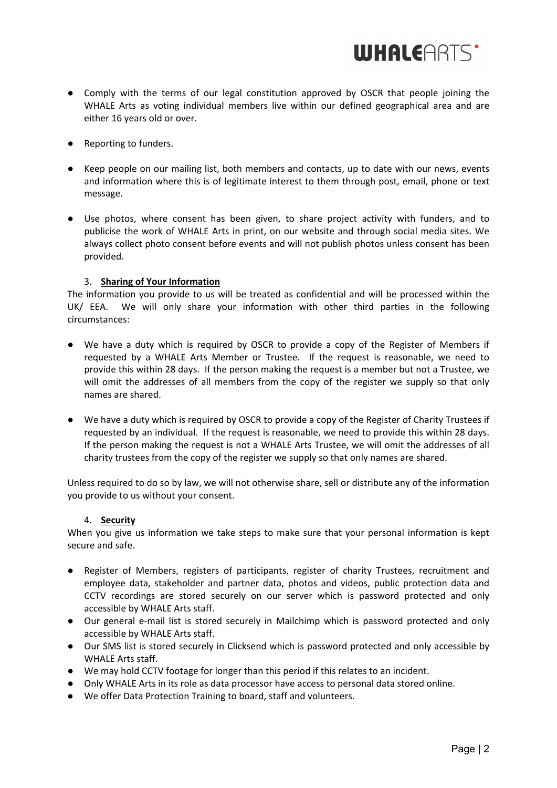

- Comply with the terms of our legal constitution approved by OSCR that people joining the WHALE Arts as voting individual members live within our defined geographical area and are either 16 years old or over.
- Reporting to funders.
- Keep people on our mailing list, both members and contacts, up to date with our news, events and information where this is of legitimate interest to them through post, email, phone or text message.
- Use photos, where consent has been given, to share project activity with funders, and to publicise the work of WHALE Arts in print, on our website and through social media sites. We always collect photo consent before events and will not publish photos unless consent has been provided.

# 3. **Sharing of Your Information**

The information you provide to us will be treated as confidential and will be processed within the UK/ EEA. We will only share your information with other third parties in the following circumstances:

- We have a duty which is required by OSCR to provide a copy of the Register of Members if requested by a WHALE Arts Member or Trustee. If the request is reasonable, we need to provide this within 28 days. If the person making the request is a member but not a Trustee, we will omit the addresses of all members from the copy of the register we supply so that only names are shared.
- We have a duty which is required by OSCR to provide a copy of the Register of Charity Trustees if requested by an individual. If the request is reasonable, we need to provide this within 28 days. If the person making the request is not a WHALE Arts Trustee, we will omit the addresses of all charity trustees from the copy of the register we supply so that only names are shared.

Unless required to do so by law, we will not otherwise share, sell or distribute any of the information you provide to us without your consent.

## 4. **Security**

When you give us information we take steps to make sure that your personal information is kept secure and safe.

- Register of Members, registers of participants, register of charity Trustees, recruitment and employee data, stakeholder and partner data, photos and videos, public protection data and CCTV recordings are stored securely on our server which is password protected and only accessible by WHALE Arts staff.
- Our general e-mail list is stored securely in Mailchimp which is password protected and only accessible by WHALE Arts staff.
- Our SMS list is stored securely in Clicksend which is password protected and only accessible by WHALE Arts staff.
- We may hold CCTV footage for longer than this period if this relates to an incident.
- Only WHALE Arts in its role as data processor have access to personal data stored online.
- We offer Data Protection Training to board, staff and volunteers.